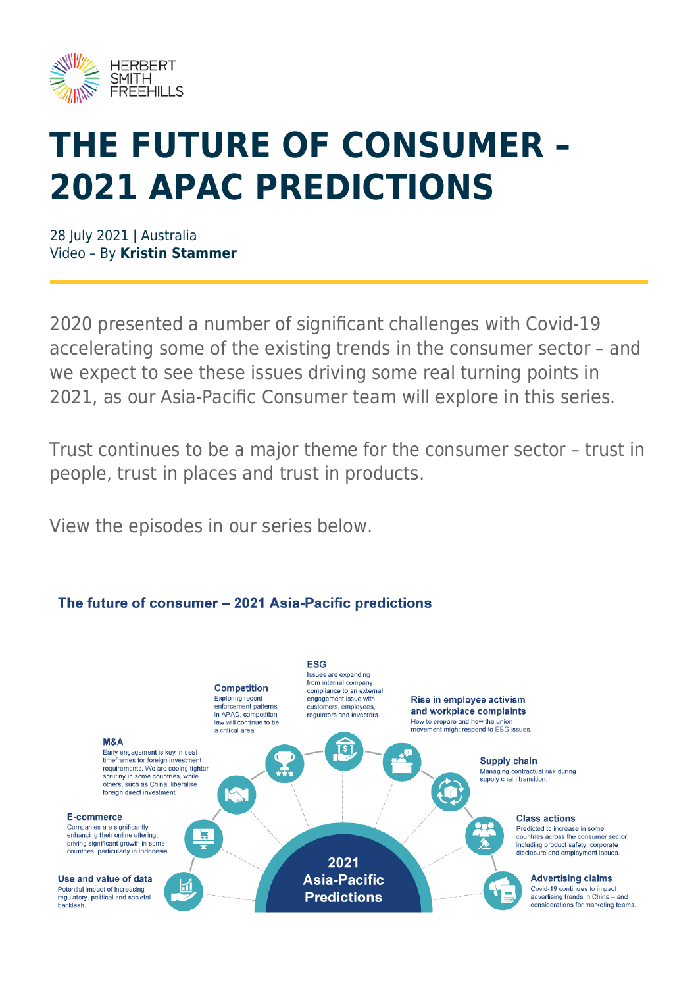

# **THE FUTURE OF CONSUMER – 2021 APAC PREDICTIONS**

28 July 2021 | Australia Video – By **Kristin Stammer**

2020 presented a number of significant challenges with Covid-19 accelerating some of the existing trends in the consumer sector – and we expect to see these issues driving some real turning points in 2021, as our Asia-Pacific Consumer team will explore in this series.

Trust continues to be a major theme for the consumer sector – trust in people, trust in places and trust in products.

View the episodes in our series below.

#### **ESG** Issues are expanding from internal company **Competition** compliance to an external Exploring recent engagement issue with Rise in employee activism enforcement patterns<br>in APAC, competition customers, employees and workplace complaints requlators and investors How to prepare and how the union law will continue to be a critical area movement might respond to ESG issues M.R.A छि। Farly engagement is key in deal timeframes for foreign investment Supply chain requirements. We are seeing tighter Managing contractual risk during scrutiny in some countries, while<br>others, such as China, liberalise supply chain transition 0 foreign direct investment IW E-commerce Class actions Companies are significantly 999 Predicted to increase in some enhancing their online offering W countries across the consumer sector, driving significant growth in some including product safety, corporate<br>disclosure and employment issues countries, particularly in Indonesia 2021 **Advertising claims** Use and value of data **Asia-Pacific** 団 Potential impact of increasing Covid-19 continues to impact **Predictions** regulatory, political and societal advertising trends in China - and backlash considerations for marketing teams.

### The future of consumer - 2021 Asia-Pacific predictions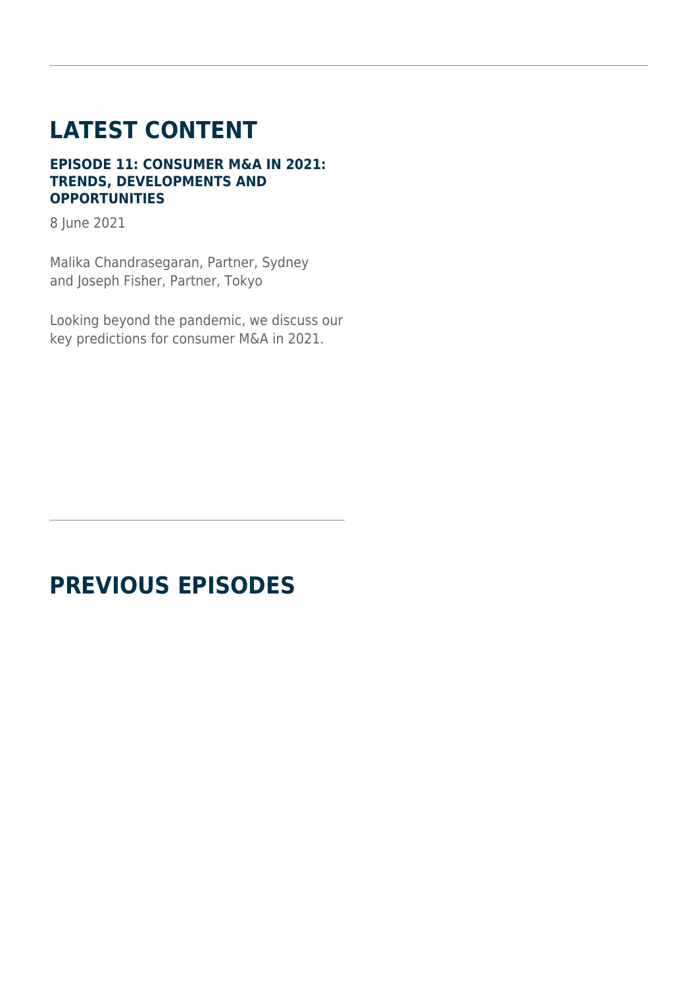## **LATEST CONTENT**

#### **EPISODE 11: CONSUMER M&A IN 2021: TRENDS, DEVELOPMENTS AND OPPORTUNITIES**

8 June 2021

Malika Chandrasegaran, Partner, Sydney and Joseph Fisher, Partner, Tokyo

Looking beyond the pandemic, we discuss our key predictions for consumer M&A in 2021.

### **PREVIOUS EPISODES**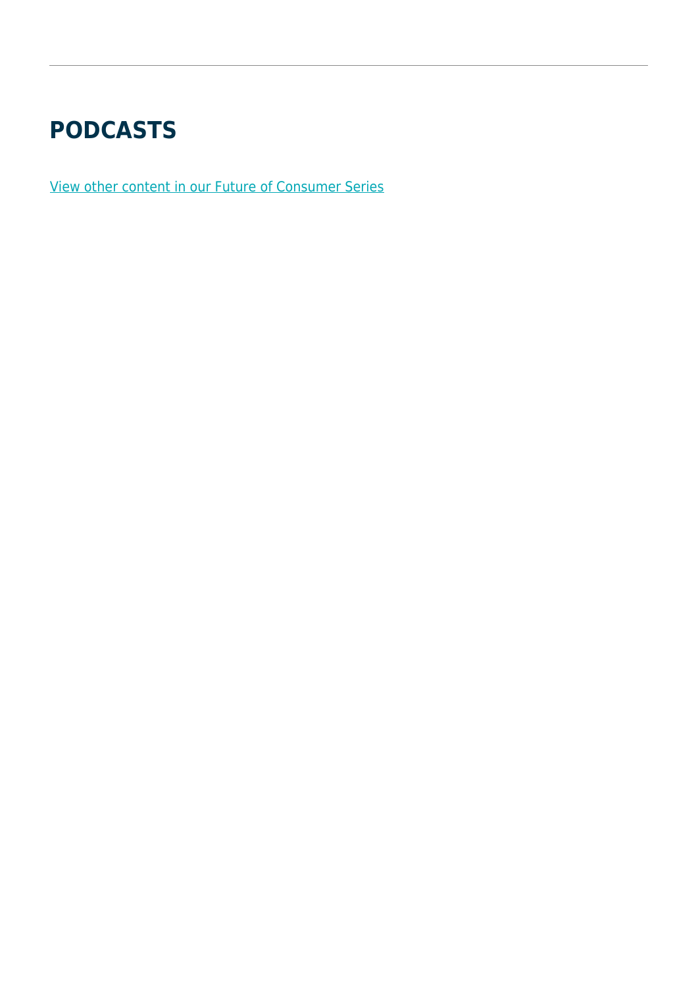### **PODCASTS**

[View other content in our Future of Consumer Series](https://www.herbertsmithfreehills.com/latest-thinking/the-future-of-consumer-series)